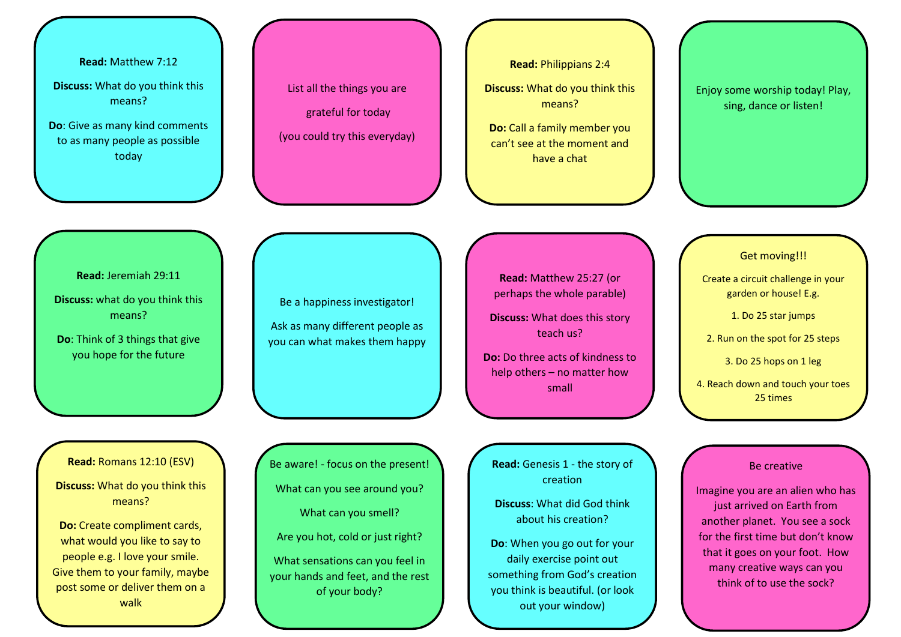**Read:** Matthew 7:12

**Discuss:** What do you think this means?

**Do**: Give as many kind comments to as many people as possible today

List all the things you are grateful for today (you could try this everyday) **Read:** Philippians 2:4

**Discuss:** What do you think this means?

**Do:** Call a family member you can't see at the moment and have a chat

Enjoy some worship today! Play, sing, dance or listen!

**Read:** Jeremiah 29:11

**Discuss:** what do you think this means?

**Do**: Think of 3 things that give you hope for the future

Be a happiness investigator! Ask as many different people as you can what makes them happy

**Read:** Matthew 25:27 (or perhaps the whole parable)

**Discuss:** What does this story teach us?

**Do:** Do three acts of kindness to help others – no matter how small

Get moving!!!

Create a circuit challenge in your garden or house! E.g.

1. Do 25 star jumps

2. Run on the spot for 25 steps

3. Do 25 hops on 1 leg

4. Reach down and touch your toes 25 times

**Read:** Romans 12:10 (ESV)

**Discuss:** What do you think this means?

**Do:** Create compliment cards, what would you like to say to people e.g. I love your smile. Give them to your family, maybe post some or deliver them on a walk

Be aware! - focus on the present! What can you see around you? What can you smell? Are you hot, cold or just right? What sensations can you feel in your hands and feet, and the rest of your body?

**Read:** Genesis 1 - the story of creation

**Discuss**: What did God think about his creation?

**Do**: When you go out for your daily exercise point out something from God's creation you think is beautiful. (or look out your window)

## Be creative

Imagine you are an alien who has just arrived on Earth from another planet. You see a sock for the first time but don't know that it goes on your foot. How many creative ways can you think of to use the sock?